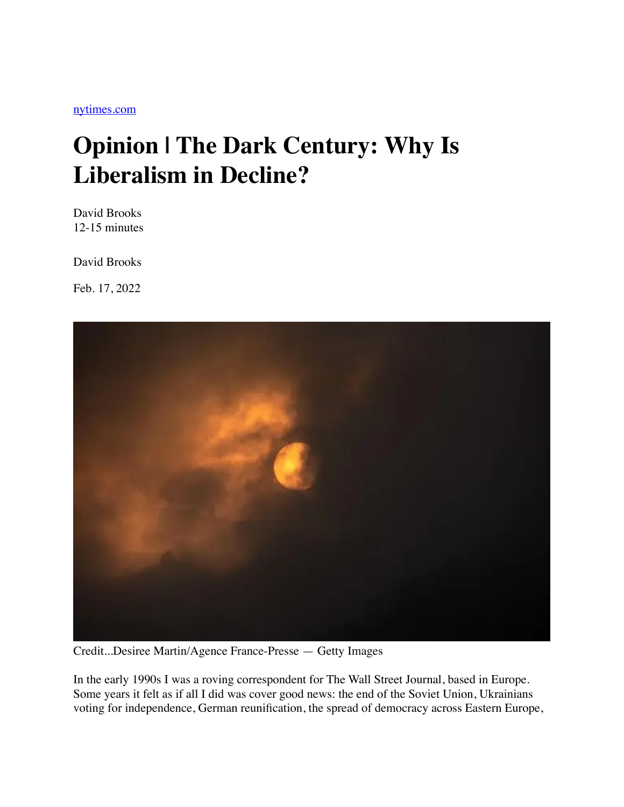## **Opinion | The Dark Century: Why Is Liberalism in Decline?**

David Brooks 12-15 minutes

David Brooks

Feb. 17, 2022



Credit...Desiree Martin/Agence France-Presse — Getty Images

In the early 1990s I was a roving correspondent for The Wall Street Journal, based in Europe. Some years it felt as if all I did was cover good news: the end of the Soviet Union, Ukrainians voting for independence, German reunification, the spread of democracy across Eastern Europe,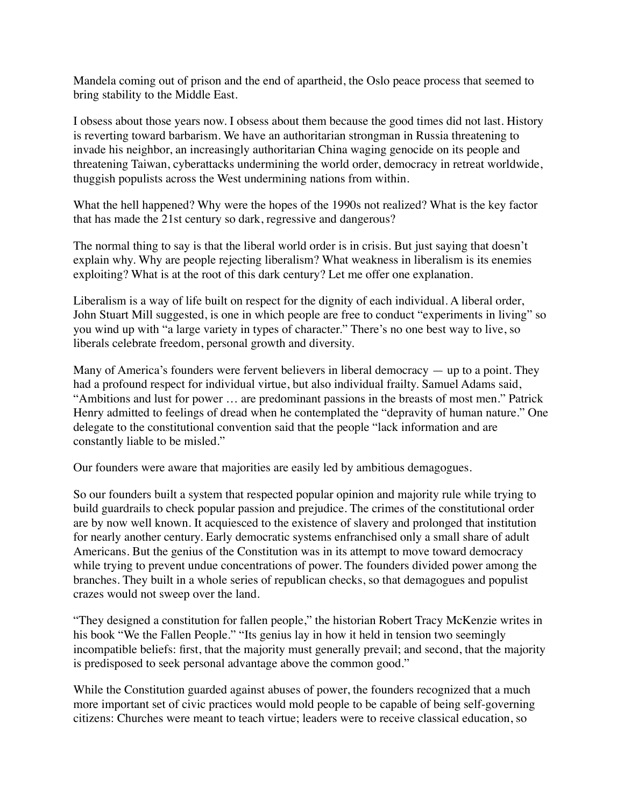Mandela coming out of prison and the end of apartheid, the Oslo peace process that seemed to bring stability to the Middle East.

I obsess about those years now. I obsess about them because the good times did not last. History is reverting toward barbarism. We have an authoritarian strongman in Russia threatening to invade his neighbor, an increasingly authoritarian China waging genocide on its people and threatening Taiwan, cyberattacks undermining the world order, democracy in retreat worldwide, thuggish populists across the West undermining nations from within.

What the hell happened? Why were the hopes of the 1990s not realized? What is the key factor that has made the 21st century so dark, regressive and dangerous?

The normal thing to say is that the liberal world order is in crisis. But just saying that doesn't explain why. Why are people rejecting liberalism? What weakness in liberalism is its enemies exploiting? What is at the root of this dark century? Let me offer one explanation.

Liberalism is a way of life built on respect for the dignity of each individual. A liberal order, John Stuart Mill suggested, is one in which people are free to conduct "experiments in living" so you wind up with "a large variety in types of character." There's no one best way to live, so liberals celebrate freedom, personal growth and diversity.

Many of America's founders were fervent believers in liberal democracy  $-$  up to a point. They had a profound respect for individual virtue, but also individual frailty. Samuel Adams said, "Ambitions and lust for power … are predominant passions in the breasts of most men." Patrick Henry admitted to feelings of dread when he contemplated the "depravity of human nature." One delegate to the constitutional convention said that the people "lack information and are constantly liable to be misled."

Our founders were aware that majorities are easily led by ambitious demagogues.

So our founders built a system that respected popular opinion and majority rule while trying to build guardrails to check popular passion and prejudice. The crimes of the constitutional order are by now well known. It acquiesced to the existence of slavery and prolonged that institution for nearly another century. Early democratic systems enfranchised only a small share of adult Americans. But the genius of the Constitution was in its attempt to move toward democracy while trying to prevent undue concentrations of power. The founders divided power among the branches. They built in a whole series of republican checks, so that demagogues and populist crazes would not sweep over the land.

"They designed a constitution for fallen people," the historian Robert Tracy McKenzie writes in his book "We the Fallen People." "Its genius lay in how it held in tension two seemingly incompatible beliefs: first, that the majority must generally prevail; and second, that the majority is predisposed to seek personal advantage above the common good."

While the Constitution guarded against abuses of power, the founders recognized that a much more important set of civic practices would mold people to be capable of being self-governing citizens: Churches were meant to teach virtue; leaders were to receive classical education, so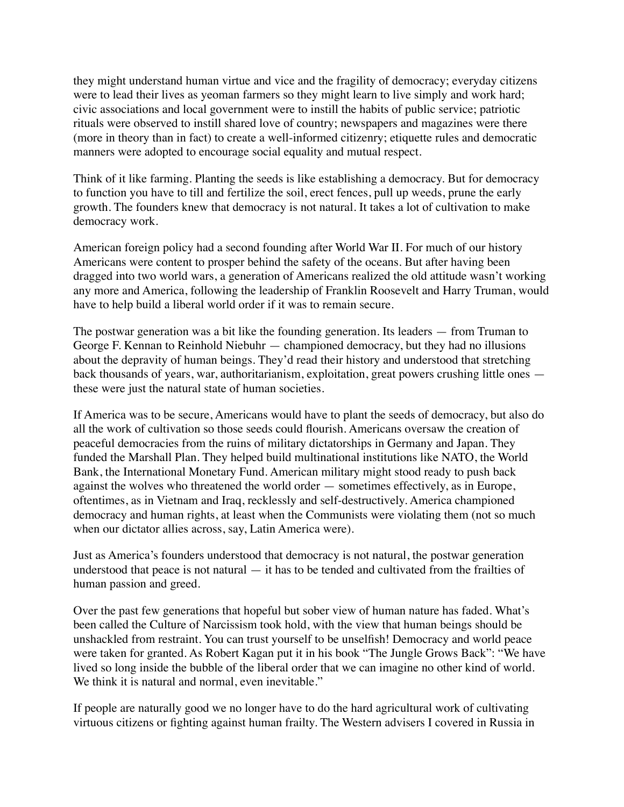they might understand human virtue and vice and the fragility of democracy; everyday citizens were to lead their lives as yeoman farmers so they might learn to live simply and work hard; civic associations and local government were to instill the habits of public service; patriotic rituals were observed to instill shared love of country; newspapers and magazines were there (more in theory than in fact) to create a well-informed citizenry; etiquette rules and democratic manners were adopted to encourage social equality and mutual respect.

Think of it like farming. Planting the seeds is like establishing a democracy. But for democracy to function you have to till and fertilize the soil, erect fences, pull up weeds, prune the early growth. The founders knew that democracy is not natural. It takes a lot of cultivation to make democracy work.

American foreign policy had a second founding after World War II. For much of our history Americans were content to prosper behind the safety of the oceans. But after having been dragged into two world wars, a generation of Americans realized the old attitude wasn't working any more and America, following the leadership of Franklin Roosevelt and Harry Truman, would have to help build a liberal world order if it was to remain secure.

The postwar generation was a bit like the founding generation. Its leaders — from Truman to George F. Kennan to Reinhold Niebuhr — championed democracy, but they had no illusions about the depravity of human beings. They'd read their history and understood that stretching back thousands of years, war, authoritarianism, exploitation, great powers crushing little ones these were just the natural state of human societies.

If America was to be secure, Americans would have to plant the seeds of democracy, but also do all the work of cultivation so those seeds could flourish. Americans oversaw the creation of peaceful democracies from the ruins of military dictatorships in Germany and Japan. They funded the Marshall Plan. They helped build multinational institutions like NATO, the World Bank, the International Monetary Fund. American military might stood ready to push back against the wolves who threatened the world order — sometimes effectively, as in Europe, oftentimes, as in Vietnam and Iraq, recklessly and self-destructively. America championed democracy and human rights, at least when the Communists were violating them (not so much when our dictator allies across, say, Latin America were).

Just as America's founders understood that democracy is not natural, the postwar generation understood that peace is not natural — it has to be tended and cultivated from the frailties of human passion and greed.

Over the past few generations that hopeful but sober view of human nature has faded. What's been called the Culture of Narcissism took hold, with the view that human beings should be unshackled from restraint. You can trust yourself to be unselfish! Democracy and world peace were taken for granted. As Robert Kagan put it in his book "The Jungle Grows Back": "We have lived so long inside the bubble of the liberal order that we can imagine no other kind of world. We think it is natural and normal, even inevitable."

If people are naturally good we no longer have to do the hard agricultural work of cultivating virtuous citizens or fighting against human frailty. The Western advisers I covered in Russia in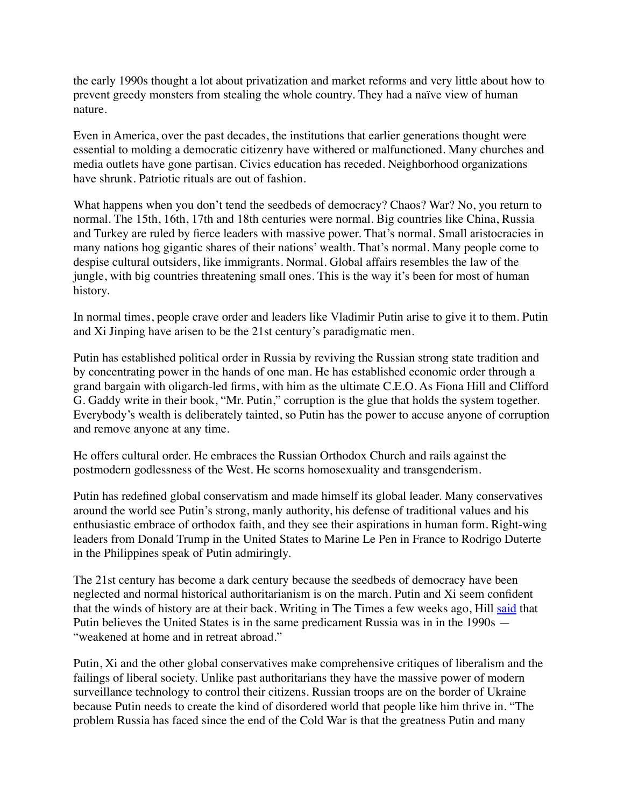the early 1990s thought a lot about privatization and market reforms and very little about how to prevent greedy monsters from stealing the whole country. They had a naïve view of human nature.

Even in America, over the past decades, the institutions that earlier generations thought were essential to molding a democratic citizenry have withered or malfunctioned. Many churches and media outlets have gone partisan. Civics education has receded. Neighborhood organizations have shrunk. Patriotic rituals are out of fashion.

What happens when you don't tend the seedbeds of democracy? Chaos? War? No, you return to normal. The 15th, 16th, 17th and 18th centuries were normal. Big countries like China, Russia and Turkey are ruled by fierce leaders with massive power. That's normal. Small aristocracies in many nations hog gigantic shares of their nations' wealth. That's normal. Many people come to despise cultural outsiders, like immigrants. Normal. Global affairs resembles the law of the jungle, with big countries threatening small ones. This is the way it's been for most of human history.

In normal times, people crave order and leaders like Vladimir Putin arise to give it to them. Putin and Xi Jinping have arisen to be the 21st century's paradigmatic men.

Putin has established political order in Russia by reviving the Russian strong state tradition and by concentrating power in the hands of one man. He has established economic order through a grand bargain with oligarch-led firms, with him as the ultimate C.E.O. As Fiona Hill and Clifford G. Gaddy write in their book, "Mr. Putin," corruption is the glue that holds the system together. Everybody's wealth is deliberately tainted, so Putin has the power to accuse anyone of corruption and remove anyone at any time.

He offers cultural order. He embraces the Russian Orthodox Church and rails against the postmodern godlessness of the West. He scorns homosexuality and transgenderism.

Putin has redefined global conservatism and made himself its global leader. Many conservatives around the world see Putin's strong, manly authority, his defense of traditional values and his enthusiastic embrace of orthodox faith, and they see their aspirations in human form. Right-wing leaders from Donald Trump in the United States to Marine Le Pen in France to Rodrigo Duterte in the Philippines speak of Putin admiringly.

The 21st century has become a dark century because the seedbeds of democracy have been neglected and normal historical authoritarianism is on the march. Putin and Xi seem confident that the winds of history are at their back. Writing in The Times a few weeks ago, Hill [said](https://www.nytimes.com/2022/01/24/opinion/russia-ukraine-putin-biden.html) that Putin believes the United States is in the same predicament Russia was in in the 1990s — "weakened at home and in retreat abroad."

Putin, Xi and the other global conservatives make comprehensive critiques of liberalism and the failings of liberal society. Unlike past authoritarians they have the massive power of modern surveillance technology to control their citizens. Russian troops are on the border of Ukraine because Putin needs to create the kind of disordered world that people like him thrive in. "The problem Russia has faced since the end of the Cold War is that the greatness Putin and many